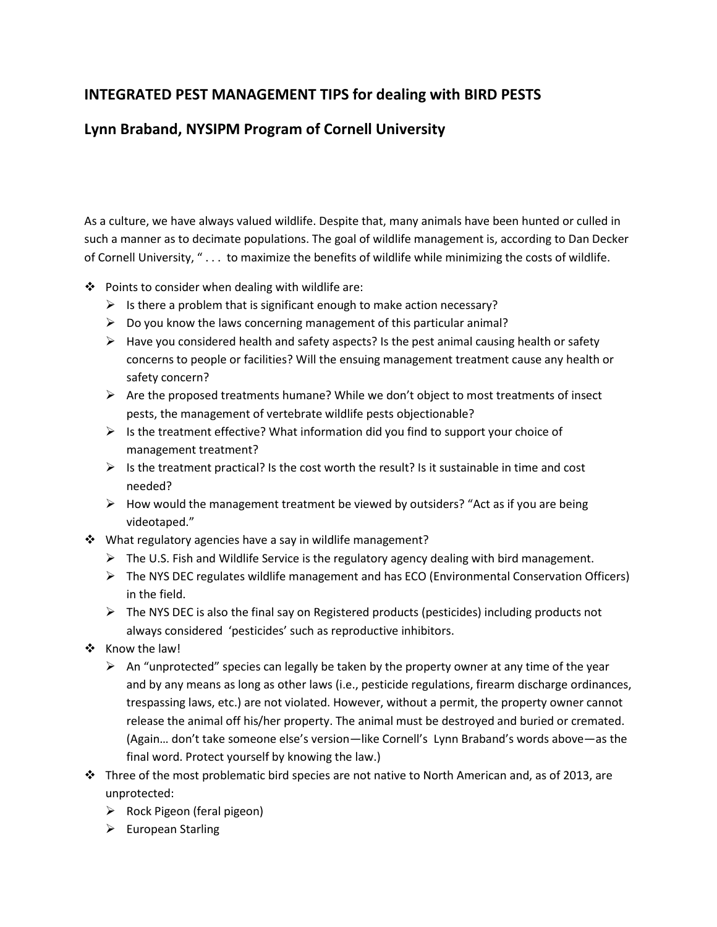## **INTEGRATED PEST MANAGEMENT TIPS for dealing with BIRD PESTS**

## **Lynn Braband, NYSIPM Program of Cornell University**

As a culture, we have always valued wildlife. Despite that, many animals have been hunted or culled in such a manner as to decimate populations. The goal of wildlife management is, according to Dan Decker of Cornell University, " . . . to maximize the benefits of wildlife while minimizing the costs of wildlife.

- $\div$  Points to consider when dealing with wildlife are:
	- $\triangleright$  Is there a problem that is significant enough to make action necessary?
	- $\triangleright$  Do you know the laws concerning management of this particular animal?
	- $\triangleright$  Have you considered health and safety aspects? Is the pest animal causing health or safety concerns to people or facilities? Will the ensuing management treatment cause any health or safety concern?
	- $\triangleright$  Are the proposed treatments humane? While we don't object to most treatments of insect pests, the management of vertebrate wildlife pests objectionable?
	- $\triangleright$  Is the treatment effective? What information did you find to support your choice of management treatment?
	- $\triangleright$  Is the treatment practical? Is the cost worth the result? Is it sustainable in time and cost needed?
	- $\triangleright$  How would the management treatment be viewed by outsiders? "Act as if you are being videotaped."
- ❖ What regulatory agencies have a say in wildlife management?
	- The U.S. Fish and Wildlife Service is the regulatory agency dealing with bird management.
	- $\triangleright$  The NYS DEC regulates wildlife management and has ECO (Environmental Conservation Officers) in the field.
	- $\triangleright$  The NYS DEC is also the final say on Registered products (pesticides) including products not always considered 'pesticides' such as reproductive inhibitors.
- ❖ Know the law!
	- $\triangleright$  An "unprotected" species can legally be taken by the property owner at any time of the year and by any means as long as other laws (i.e., pesticide regulations, firearm discharge ordinances, trespassing laws, etc.) are not violated. However, without a permit, the property owner cannot release the animal off his/her property. The animal must be destroyed and buried or cremated. (Again… don't take someone else's version—like Cornell's Lynn Braband's words above—as the final word. Protect yourself by knowing the law.)
- $\cdot \cdot$  Three of the most problematic bird species are not native to North American and, as of 2013, are unprotected:
	- $\triangleright$  Rock Pigeon (feral pigeon)
	- $\blacktriangleright$  European Starling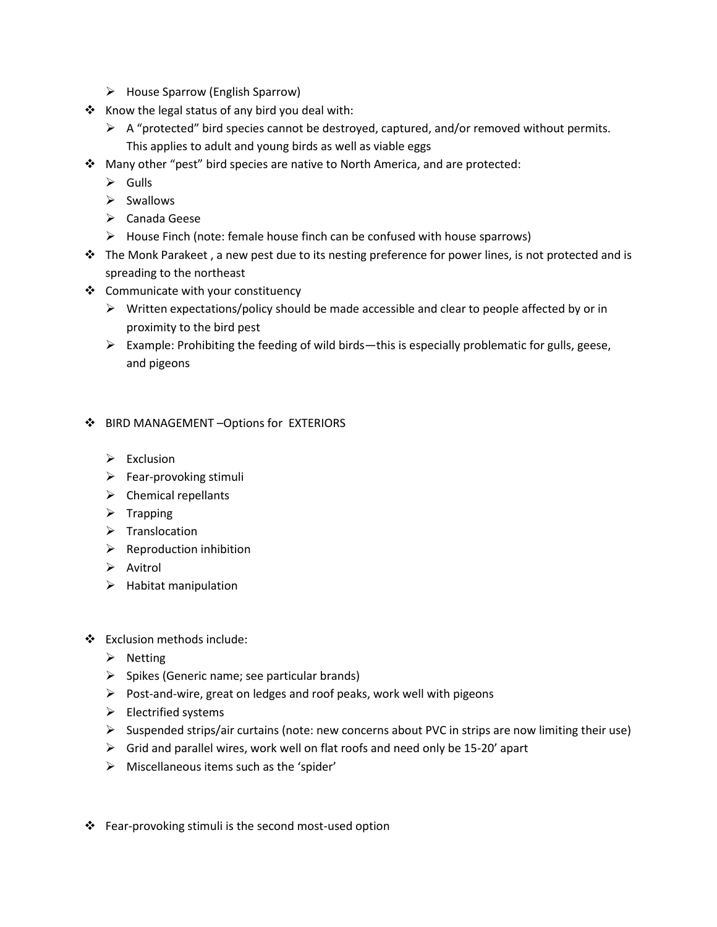- $\triangleright$  House Sparrow (English Sparrow)
- \* Know the legal status of any bird you deal with:
	- $\triangleright$  A "protected" bird species cannot be destroyed, captured, and/or removed without permits. This applies to adult and young birds as well as viable eggs
- Many other "pest" bird species are native to North America, and are protected:
	- $\triangleright$  Gulls
	- $\triangleright$  Swallows
	- Canada Geese
	- $\triangleright$  House Finch (note: female house finch can be confused with house sparrows)
- $\cdot \cdot$  The Monk Parakeet, a new pest due to its nesting preference for power lines, is not protected and is spreading to the northeast
- Communicate with your constituency
	- $\triangleright$  Written expectations/policy should be made accessible and clear to people affected by or in proximity to the bird pest
	- $\triangleright$  Example: Prohibiting the feeding of wild birds—this is especially problematic for gulls, geese, and pigeons

## BIRD MANAGEMENT –Options for EXTERIORS

- $\triangleright$  Exclusion
- $\triangleright$  Fear-provoking stimuli
- $\triangleright$  Chemical repellants
- $\triangleright$  Trapping
- $\triangleright$  Translocation
- $\triangleright$  Reproduction inhibition
- $\triangleright$  Avitrol
- $\blacktriangleright$  Habitat manipulation
- Exclusion methods include:
	- $\triangleright$  Netting
	- $\triangleright$  Spikes (Generic name; see particular brands)
	- $\triangleright$  Post-and-wire, great on ledges and roof peaks, work well with pigeons
	- $\triangleright$  Electrified systems
	- $\triangleright$  Suspended strips/air curtains (note: new concerns about PVC in strips are now limiting their use)
	- $\triangleright$  Grid and parallel wires, work well on flat roofs and need only be 15-20' apart
	- $\triangleright$  Miscellaneous items such as the 'spider'
- ❖ Fear-provoking stimuli is the second most-used option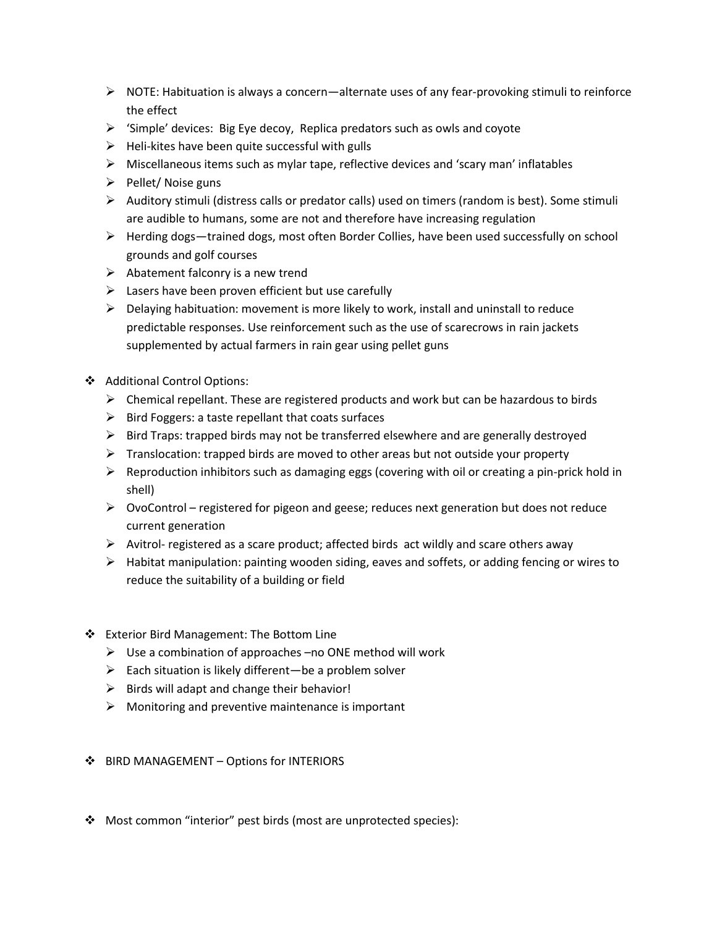- $\triangleright$  NOTE: Habituation is always a concern—alternate uses of any fear-provoking stimuli to reinforce the effect
- $\triangleright$  'Simple' devices: Big Eye decoy, Replica predators such as owls and coyote
- $\triangleright$  Heli-kites have been quite successful with gulls
- $\triangleright$  Miscellaneous items such as mylar tape, reflective devices and 'scary man' inflatables
- $\triangleright$  Pellet/ Noise guns
- $\triangleright$  Auditory stimuli (distress calls or predator calls) used on timers (random is best). Some stimuli are audible to humans, some are not and therefore have increasing regulation
- $\triangleright$  Herding dogs—trained dogs, most often Border Collies, have been used successfully on school grounds and golf courses
- $\triangleright$  Abatement falconry is a new trend
- $\triangleright$  Lasers have been proven efficient but use carefully
- $\triangleright$  Delaying habituation: movement is more likely to work, install and uninstall to reduce predictable responses. Use reinforcement such as the use of scarecrows in rain jackets supplemented by actual farmers in rain gear using pellet guns
- Additional Control Options:
	- $\triangleright$  Chemical repellant. These are registered products and work but can be hazardous to birds
	- $\triangleright$  Bird Foggers: a taste repellant that coats surfaces
	- $\triangleright$  Bird Traps: trapped birds may not be transferred elsewhere and are generally destroyed
	- $\triangleright$  Translocation: trapped birds are moved to other areas but not outside your property
	- $\triangleright$  Reproduction inhibitors such as damaging eggs (covering with oil or creating a pin-prick hold in shell)
	- OvoControl registered for pigeon and geese; reduces next generation but does not reduce current generation
	- $\triangleright$  Avitrol- registered as a scare product; affected birds act wildly and scare others away
	- $\triangleright$  Habitat manipulation: painting wooden siding, eaves and soffets, or adding fencing or wires to reduce the suitability of a building or field
- Exterior Bird Management: The Bottom Line
	- $\triangleright$  Use a combination of approaches –no ONE method will work
	- $\triangleright$  Each situation is likely different—be a problem solver
	- $\triangleright$  Birds will adapt and change their behavior!
	- $\triangleright$  Monitoring and preventive maintenance is important
- ❖ BIRD MANAGEMENT Options for INTERIORS
- Most common "interior" pest birds (most are unprotected species):